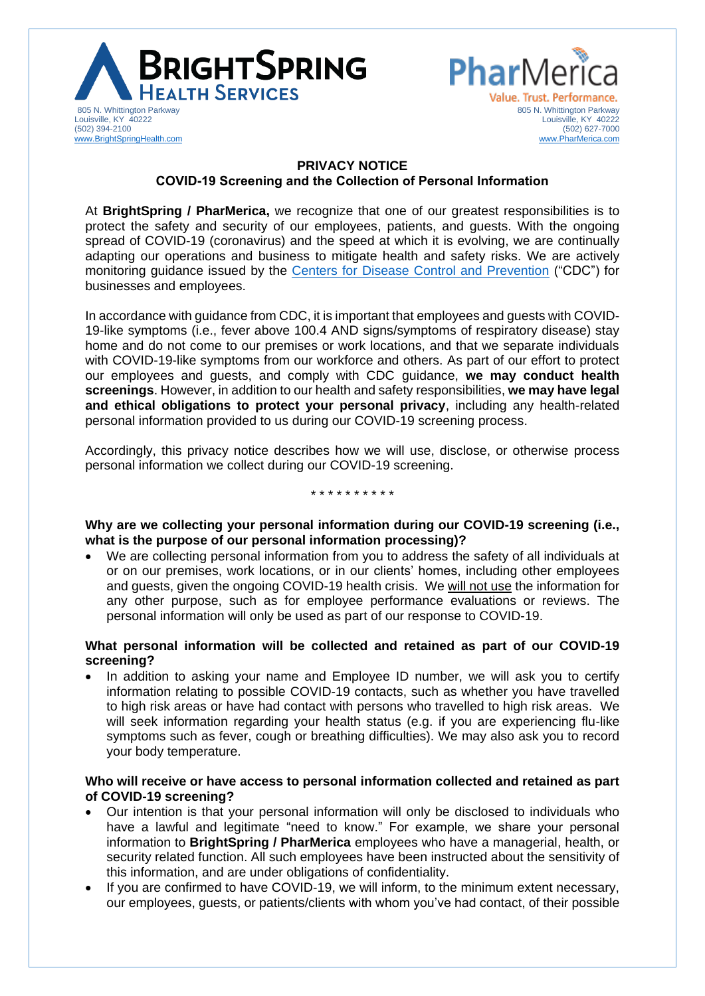



# **PRIVACY NOTICE COVID-19 Screening and the Collection of Personal Information**

At **BrightSpring / PharMerica,** we recognize that one of our greatest responsibilities is to protect the safety and security of our employees, patients, and guests. With the ongoing spread of COVID-19 (coronavirus) and the speed at which it is evolving, we are continually adapting our operations and business to mitigate health and safety risks. We are actively monitoring guidance issued by the [Centers for Disease Control and Prevention](https://www.cdc.gov/coronavirus/2019-ncov/community/guidance-business-response.html) ("CDC") for businesses and employees.

In accordance with guidance from CDC, it is important that employees and guests with COVID-19-like symptoms (i.e., fever above 100.4 AND signs/symptoms of respiratory disease) stay home and do not come to our premises or work locations, and that we separate individuals with COVID-19-like symptoms from our workforce and others. As part of our effort to protect our employees and guests, and comply with CDC guidance, **we may conduct health screenings**. However, in addition to our health and safety responsibilities, **we may have legal and ethical obligations to protect your personal privacy**, including any health-related personal information provided to us during our COVID-19 screening process.

Accordingly, this privacy notice describes how we will use, disclose, or otherwise process personal information we collect during our COVID-19 screening.

#### \* \* \* \* \* \* \* \* \* \*

**Why are we collecting your personal information during our COVID-19 screening (i.e., what is the purpose of our personal information processing)?**

• We are collecting personal information from you to address the safety of all individuals at or on our premises, work locations, or in our clients' homes, including other employees and guests, given the ongoing COVID-19 health crisis. We will not use the information for any other purpose, such as for employee performance evaluations or reviews. The personal information will only be used as part of our response to COVID-19.

## **What personal information will be collected and retained as part of our COVID-19 screening?**

• In addition to asking your name and Employee ID number, we will ask you to certify information relating to possible COVID-19 contacts, such as whether you have travelled to high risk areas or have had contact with persons who travelled to high risk areas. We will seek information regarding your health status (e.g. if you are experiencing flu-like symptoms such as fever, cough or breathing difficulties). We may also ask you to record your body temperature.

# **Who will receive or have access to personal information collected and retained as part of COVID-19 screening?**

- Our intention is that your personal information will only be disclosed to individuals who have a lawful and legitimate "need to know." For example, we share your personal information to **BrightSpring / PharMerica** employees who have a managerial, health, or security related function. All such employees have been instructed about the sensitivity of this information, and are under obligations of confidentiality.
- If you are confirmed to have COVID-19, we will inform, to the minimum extent necessary, our employees, guests, or patients/clients with whom you've had contact, of their possible